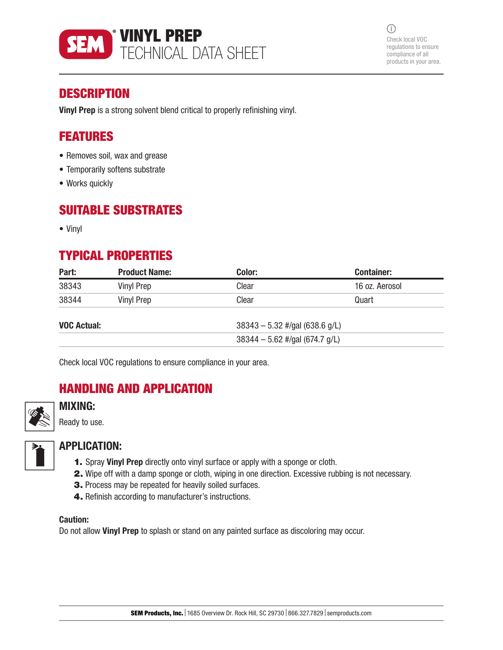

 $(i)$ Check local VOC regulations to ensure compliance of all products in your area.

## **DESCRIPTION**

Vinyl Prep is a strong solvent blend critical to properly refinishing vinyl.

## FEATURES

- Removes soil, wax and grease
- Temporarily softens substrate
- Works quickly

## SUITABLE SUBSTRATES

• Vinyl

# TYPICAL PROPERTIES

| Part:              | <b>Product Name:</b> | Color: | <b>Container:</b>                |  |
|--------------------|----------------------|--------|----------------------------------|--|
| 38343              | Vinyl Prep           | Clear  | 16 oz. Aerosol                   |  |
| 38344              | Vinyl Prep           | Clear  | Quart                            |  |
| <b>VOC Actual:</b> |                      |        | $38343 - 5.32$ #/gal (638.6 g/L) |  |
|                    |                      |        | $38344 - 5.62$ #/gal (674.7 g/L) |  |

Check local VOC regulations to ensure compliance in your area.

# HANDLING AND APPLICATION



### MIXING:

Ready to use.



### APPLICATION:

- 1. Spray Vinyl Prep directly onto vinyl surface or apply with a sponge or cloth.
- 2. Wipe off with a damp sponge or cloth, wiping in one direction. Excessive rubbing is not necessary.
- 3. Process may be repeated for heavily soiled surfaces.
- 4. Refinish according to manufacturer's instructions.

#### Caution:

Do not allow Vinyl Prep to splash or stand on any painted surface as discoloring may occur.